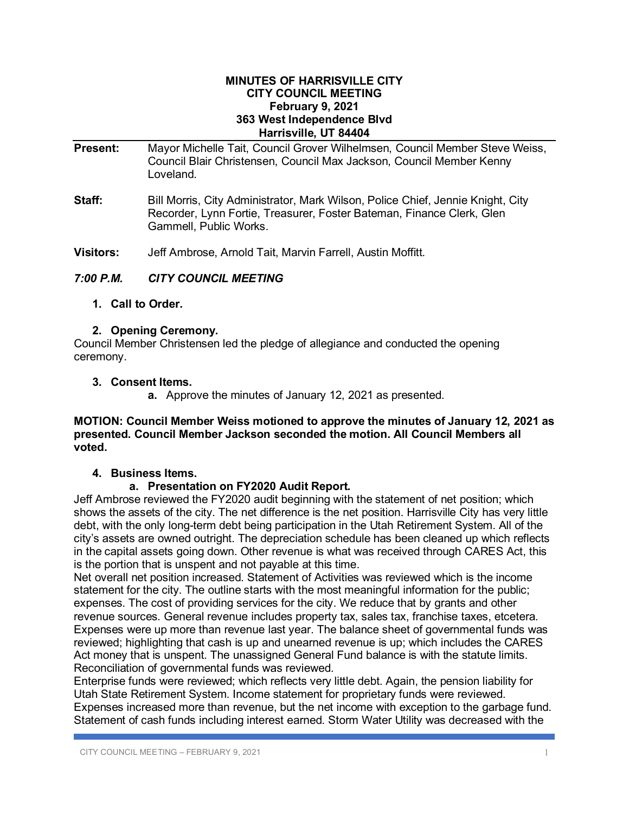#### **MINUTES OF HARRISVILLE CITY CITY COUNCIL MEETING February 9, 2021 363 West Independence Blvd Harrisville, UT 84404**

| <b>Present:</b>  | Mayor Michelle Tait, Council Grover Wilhelmsen, Council Member Steve Weiss,<br>Council Blair Christensen, Council Max Jackson, Council Member Kenny<br>Loveland.                   |  |  |
|------------------|------------------------------------------------------------------------------------------------------------------------------------------------------------------------------------|--|--|
| Staff:           | Bill Morris, City Administrator, Mark Wilson, Police Chief, Jennie Knight, City<br>Recorder, Lynn Fortie, Treasurer, Foster Bateman, Finance Clerk, Glen<br>Gammell, Public Works. |  |  |
| <b>Visitors:</b> | Jeff Ambrose, Arnold Tait, Marvin Farrell, Austin Moffitt.                                                                                                                         |  |  |

- *7:00 P.M. CITY COUNCIL MEETING*
	- **1. Call to Order.**

# **2. Opening Ceremony.**

Council Member Christensen led the pledge of allegiance and conducted the opening ceremony.

## **3. Consent Items.**

**a.** Approve the minutes of January 12, 2021 as presented.

#### **MOTION: Council Member Weiss motioned to approve the minutes of January 12, 2021 as presented. Council Member Jackson seconded the motion. All Council Members all voted.**

### **4. Business Items.**

### **a. Presentation on FY2020 Audit Report.**

Jeff Ambrose reviewed the FY2020 audit beginning with the statement of net position; which shows the assets of the city. The net difference is the net position. Harrisville City has very little debt, with the only long-term debt being participation in the Utah Retirement System. All of the city's assets are owned outright. The depreciation schedule has been cleaned up which reflects in the capital assets going down. Other revenue is what was received through CARES Act, this is the portion that is unspent and not payable at this time.

Net overall net position increased. Statement of Activities was reviewed which is the income statement for the city. The outline starts with the most meaningful information for the public; expenses. The cost of providing services for the city. We reduce that by grants and other revenue sources. General revenue includes property tax, sales tax, franchise taxes, etcetera. Expenses were up more than revenue last year. The balance sheet of governmental funds was reviewed; highlighting that cash is up and unearned revenue is up; which includes the CARES Act money that is unspent. The unassigned General Fund balance is with the statute limits. Reconciliation of governmental funds was reviewed.

Enterprise funds were reviewed; which reflects very little debt. Again, the pension liability for Utah State Retirement System. Income statement for proprietary funds were reviewed. Expenses increased more than revenue, but the net income with exception to the garbage fund. Statement of cash funds including interest earned. Storm Water Utility was decreased with the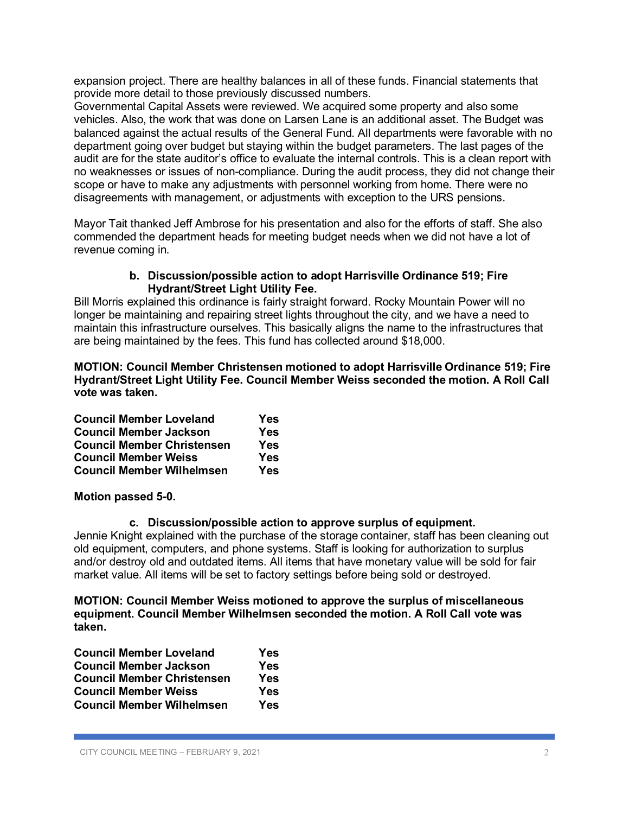expansion project. There are healthy balances in all of these funds. Financial statements that provide more detail to those previously discussed numbers.

Governmental Capital Assets were reviewed. We acquired some property and also some vehicles. Also, the work that was done on Larsen Lane is an additional asset. The Budget was balanced against the actual results of the General Fund. All departments were favorable with no department going over budget but staying within the budget parameters. The last pages of the audit are for the state auditor's office to evaluate the internal controls. This is a clean report with no weaknesses or issues of non-compliance. During the audit process, they did not change their scope or have to make any adjustments with personnel working from home. There were no disagreements with management, or adjustments with exception to the URS pensions.

Mayor Tait thanked Jeff Ambrose for his presentation and also for the efforts of staff. She also commended the department heads for meeting budget needs when we did not have a lot of revenue coming in.

#### **b. Discussion/possible action to adopt Harrisville Ordinance 519; Fire Hydrant/Street Light Utility Fee.**

Bill Morris explained this ordinance is fairly straight forward. Rocky Mountain Power will no longer be maintaining and repairing street lights throughout the city, and we have a need to maintain this infrastructure ourselves. This basically aligns the name to the infrastructures that are being maintained by the fees. This fund has collected around \$18,000.

**MOTION: Council Member Christensen motioned to adopt Harrisville Ordinance 519; Fire Hydrant/Street Light Utility Fee. Council Member Weiss seconded the motion. A Roll Call vote was taken.**

| <b>Council Member Loveland</b>    | Yes |
|-----------------------------------|-----|
| <b>Council Member Jackson</b>     | Yes |
| <b>Council Member Christensen</b> | Yes |
| <b>Council Member Weiss</b>       | Yes |
| <b>Council Member Wilhelmsen</b>  | Yes |

**Motion passed 5-0.**

### **c. Discussion/possible action to approve surplus of equipment.**

Jennie Knight explained with the purchase of the storage container, staff has been cleaning out old equipment, computers, and phone systems. Staff is looking for authorization to surplus and/or destroy old and outdated items. All items that have monetary value will be sold for fair market value. All items will be set to factory settings before being sold or destroyed.

**MOTION: Council Member Weiss motioned to approve the surplus of miscellaneous equipment. Council Member Wilhelmsen seconded the motion. A Roll Call vote was taken.**

| <b>Council Member Loveland</b>    | Yes        |
|-----------------------------------|------------|
| <b>Council Member Jackson</b>     | <b>Yes</b> |
| <b>Council Member Christensen</b> | <b>Yes</b> |
| <b>Council Member Weiss</b>       | Yes        |
| <b>Council Member Wilhelmsen</b>  | Yes        |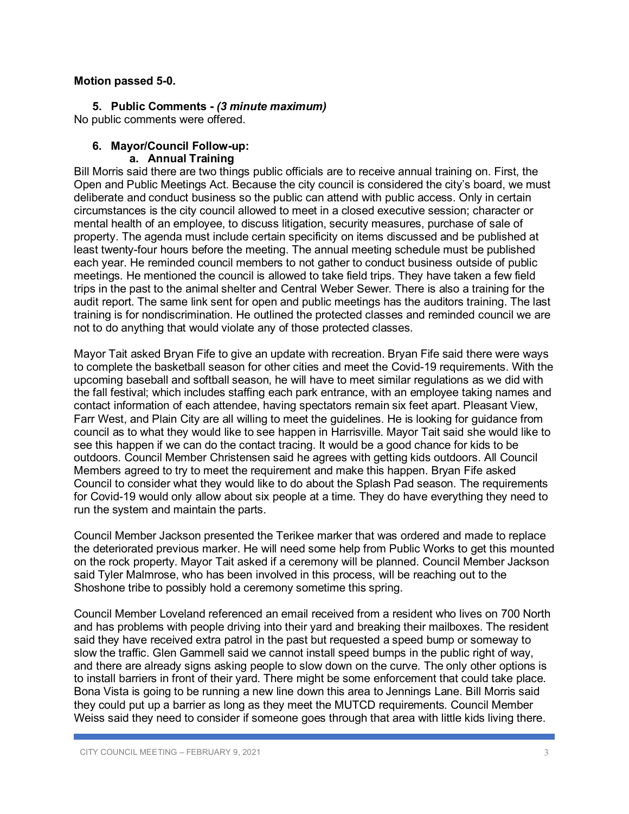#### **Motion passed 5-0.**

**5. Public Comments -** *(3 minute maximum)* No public comments were offered.

### **6. Mayor/Council Follow-up:**

#### **a. Annual Training**

Bill Morris said there are two things public officials are to receive annual training on. First, the Open and Public Meetings Act. Because the city council is considered the city's board, we must deliberate and conduct business so the public can attend with public access. Only in certain circumstances is the city council allowed to meet in a closed executive session; character or mental health of an employee, to discuss litigation, security measures, purchase of sale of property. The agenda must include certain specificity on items discussed and be published at least twenty-four hours before the meeting. The annual meeting schedule must be published each year. He reminded council members to not gather to conduct business outside of public meetings. He mentioned the council is allowed to take field trips. They have taken a few field trips in the past to the animal shelter and Central Weber Sewer. There is also a training for the audit report. The same link sent for open and public meetings has the auditors training. The last training is for nondiscrimination. He outlined the protected classes and reminded council we are not to do anything that would violate any of those protected classes.

Mayor Tait asked Bryan Fife to give an update with recreation. Bryan Fife said there were ways to complete the basketball season for other cities and meet the Covid-19 requirements. With the upcoming baseball and softball season, he will have to meet similar regulations as we did with the fall festival; which includes staffing each park entrance, with an employee taking names and contact information of each attendee, having spectators remain six feet apart. Pleasant View, Farr West, and Plain City are all willing to meet the guidelines. He is looking for guidance from council as to what they would like to see happen in Harrisville. Mayor Tait said she would like to see this happen if we can do the contact tracing. It would be a good chance for kids to be outdoors. Council Member Christensen said he agrees with getting kids outdoors. All Council Members agreed to try to meet the requirement and make this happen. Bryan Fife asked Council to consider what they would like to do about the Splash Pad season. The requirements for Covid-19 would only allow about six people at a time. They do have everything they need to run the system and maintain the parts.

Council Member Jackson presented the Terikee marker that was ordered and made to replace the deteriorated previous marker. He will need some help from Public Works to get this mounted on the rock property. Mayor Tait asked if a ceremony will be planned. Council Member Jackson said Tyler Malmrose, who has been involved in this process, will be reaching out to the Shoshone tribe to possibly hold a ceremony sometime this spring.

Council Member Loveland referenced an email received from a resident who lives on 700 North and has problems with people driving into their yard and breaking their mailboxes. The resident said they have received extra patrol in the past but requested a speed bump or someway to slow the traffic. Glen Gammell said we cannot install speed bumps in the public right of way, and there are already signs asking people to slow down on the curve. The only other options is to install barriers in front of their yard. There might be some enforcement that could take place. Bona Vista is going to be running a new line down this area to Jennings Lane. Bill Morris said they could put up a barrier as long as they meet the MUTCD requirements. Council Member Weiss said they need to consider if someone goes through that area with little kids living there.